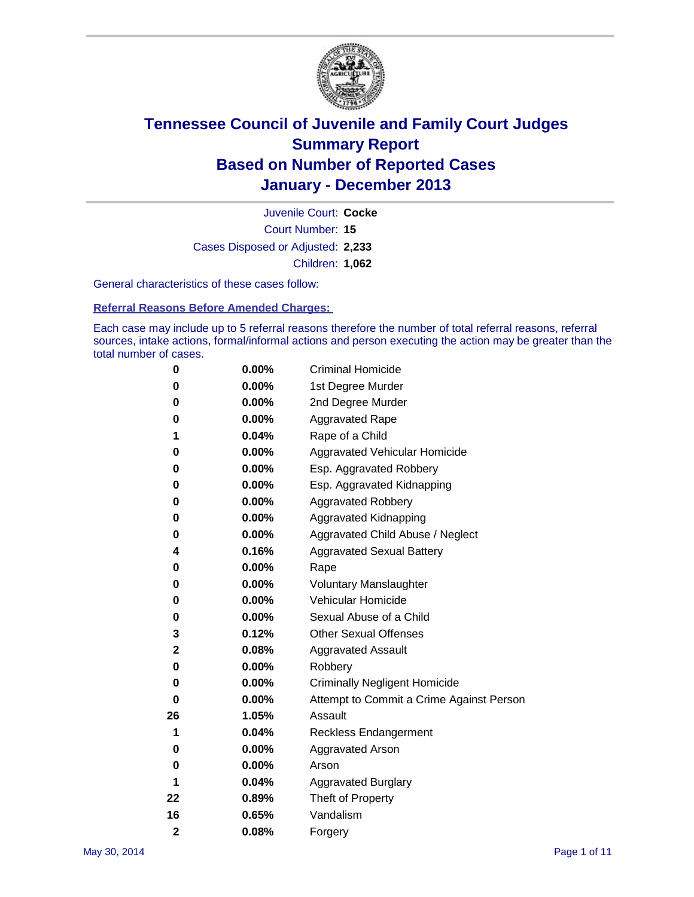

Court Number: **15** Juvenile Court: **Cocke** Cases Disposed or Adjusted: **2,233** Children: **1,062**

General characteristics of these cases follow:

**Referral Reasons Before Amended Charges:** 

Each case may include up to 5 referral reasons therefore the number of total referral reasons, referral sources, intake actions, formal/informal actions and person executing the action may be greater than the total number of cases.

| 0              | $0.00\%$ | <b>Criminal Homicide</b>                 |
|----------------|----------|------------------------------------------|
| 0              | 0.00%    | 1st Degree Murder                        |
| 0              | 0.00%    | 2nd Degree Murder                        |
| 0              | $0.00\%$ | <b>Aggravated Rape</b>                   |
| 1              | 0.04%    | Rape of a Child                          |
| 0              | 0.00%    | <b>Aggravated Vehicular Homicide</b>     |
| 0              | $0.00\%$ | Esp. Aggravated Robbery                  |
| 0              | 0.00%    | Esp. Aggravated Kidnapping               |
| 0              | 0.00%    | <b>Aggravated Robbery</b>                |
| 0              | $0.00\%$ | Aggravated Kidnapping                    |
| 0              | 0.00%    | Aggravated Child Abuse / Neglect         |
| 4              | 0.16%    | <b>Aggravated Sexual Battery</b>         |
| 0              | $0.00\%$ | Rape                                     |
| 0              | 0.00%    | <b>Voluntary Manslaughter</b>            |
| 0              | 0.00%    | Vehicular Homicide                       |
| 0              | $0.00\%$ | Sexual Abuse of a Child                  |
| 3              | 0.12%    | <b>Other Sexual Offenses</b>             |
| 2              | 0.08%    | <b>Aggravated Assault</b>                |
| 0              | 0.00%    | Robbery                                  |
| 0              | 0.00%    | <b>Criminally Negligent Homicide</b>     |
| 0              | 0.00%    | Attempt to Commit a Crime Against Person |
| 26             | 1.05%    | Assault                                  |
| 1              | 0.04%    | <b>Reckless Endangerment</b>             |
| 0              | 0.00%    | <b>Aggravated Arson</b>                  |
| 0              | $0.00\%$ | Arson                                    |
| 1              | 0.04%    | <b>Aggravated Burglary</b>               |
| 22             | 0.89%    | Theft of Property                        |
| 16             | 0.65%    | Vandalism                                |
| $\overline{2}$ | 0.08%    | Forgery                                  |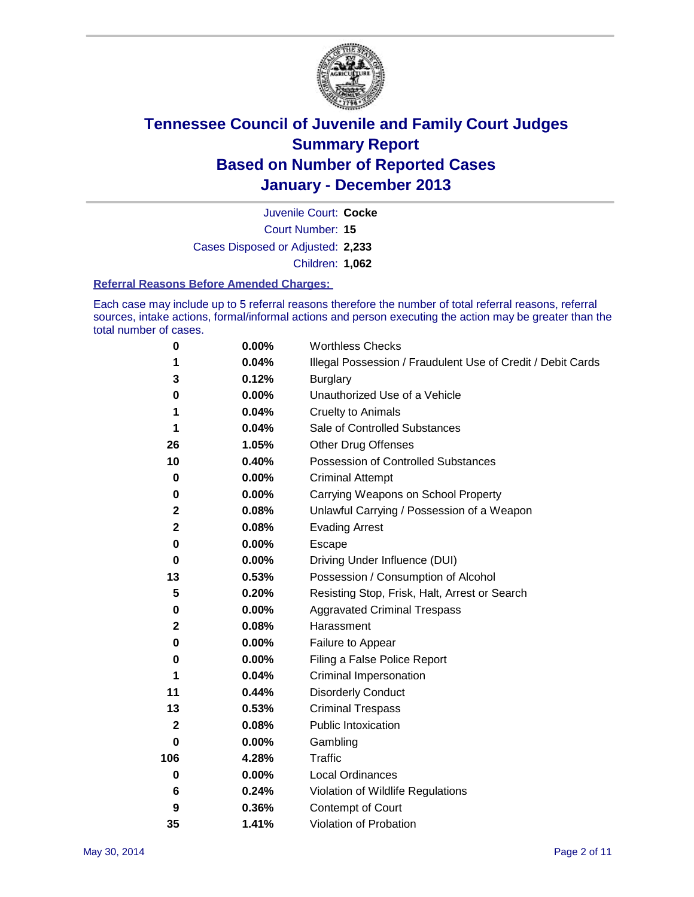

Court Number: **15** Juvenile Court: **Cocke** Cases Disposed or Adjusted: **2,233** Children: **1,062**

#### **Referral Reasons Before Amended Charges:**

Each case may include up to 5 referral reasons therefore the number of total referral reasons, referral sources, intake actions, formal/informal actions and person executing the action may be greater than the total number of cases.

| 0           | 0.00%    | <b>Worthless Checks</b>                                     |
|-------------|----------|-------------------------------------------------------------|
| 1           | 0.04%    | Illegal Possession / Fraudulent Use of Credit / Debit Cards |
| 3           | 0.12%    | <b>Burglary</b>                                             |
| 0           | 0.00%    | Unauthorized Use of a Vehicle                               |
| 1           | 0.04%    | <b>Cruelty to Animals</b>                                   |
| 1           | 0.04%    | Sale of Controlled Substances                               |
| 26          | 1.05%    | <b>Other Drug Offenses</b>                                  |
| 10          | 0.40%    | <b>Possession of Controlled Substances</b>                  |
| $\bf{0}$    | 0.00%    | <b>Criminal Attempt</b>                                     |
| 0           | $0.00\%$ | Carrying Weapons on School Property                         |
| $\mathbf 2$ | 0.08%    | Unlawful Carrying / Possession of a Weapon                  |
| $\mathbf 2$ | 0.08%    | <b>Evading Arrest</b>                                       |
| 0           | 0.00%    | Escape                                                      |
| 0           | 0.00%    | Driving Under Influence (DUI)                               |
| 13          | 0.53%    | Possession / Consumption of Alcohol                         |
| 5           | 0.20%    | Resisting Stop, Frisk, Halt, Arrest or Search               |
| 0           | 0.00%    | <b>Aggravated Criminal Trespass</b>                         |
| $\mathbf 2$ | 0.08%    | Harassment                                                  |
| 0           | 0.00%    | Failure to Appear                                           |
| 0           | $0.00\%$ | Filing a False Police Report                                |
| 1           | 0.04%    | Criminal Impersonation                                      |
| 11          | 0.44%    | <b>Disorderly Conduct</b>                                   |
| 13          | 0.53%    | <b>Criminal Trespass</b>                                    |
| $\mathbf 2$ | 0.08%    | <b>Public Intoxication</b>                                  |
| 0           | 0.00%    | Gambling                                                    |
| 106         | 4.28%    | Traffic                                                     |
| 0           | $0.00\%$ | <b>Local Ordinances</b>                                     |
| 6           | 0.24%    | Violation of Wildlife Regulations                           |
| 9           | 0.36%    | Contempt of Court                                           |
| 35          | 1.41%    | <b>Violation of Probation</b>                               |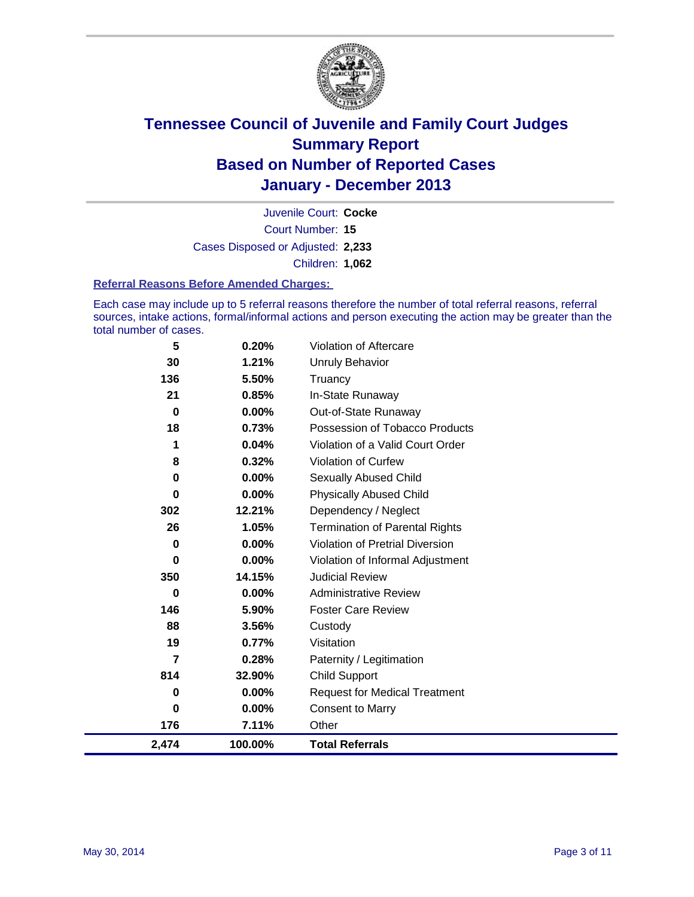

Court Number: **15** Juvenile Court: **Cocke** Cases Disposed or Adjusted: **2,233** Children: **1,062**

#### **Referral Reasons Before Amended Charges:**

Each case may include up to 5 referral reasons therefore the number of total referral reasons, referral sources, intake actions, formal/informal actions and person executing the action may be greater than the total number of cases.

| 5        | 0.20%    | Violation of Aftercare                 |
|----------|----------|----------------------------------------|
| 30       | 1.21%    | Unruly Behavior                        |
| 136      | 5.50%    | Truancy                                |
| 21       | 0.85%    | In-State Runaway                       |
| $\bf{0}$ | $0.00\%$ | Out-of-State Runaway                   |
| 18       | 0.73%    | Possession of Tobacco Products         |
| 1        | 0.04%    | Violation of a Valid Court Order       |
| 8        | 0.32%    | Violation of Curfew                    |
| 0        | $0.00\%$ | <b>Sexually Abused Child</b>           |
| 0        | 0.00%    | <b>Physically Abused Child</b>         |
| 302      | 12.21%   | Dependency / Neglect                   |
| 26       | 1.05%    | <b>Termination of Parental Rights</b>  |
| 0        | 0.00%    | <b>Violation of Pretrial Diversion</b> |
| 0        | 0.00%    | Violation of Informal Adjustment       |
| 350      | 14.15%   | <b>Judicial Review</b>                 |
| 0        | $0.00\%$ | <b>Administrative Review</b>           |
| 146      | 5.90%    | <b>Foster Care Review</b>              |
| 88       | 3.56%    | Custody                                |
| 19       | 0.77%    | Visitation                             |
| 7        | 0.28%    | Paternity / Legitimation               |
| 814      | 32.90%   | Child Support                          |
| 0        | 0.00%    | <b>Request for Medical Treatment</b>   |
| 0        | 0.00%    | <b>Consent to Marry</b>                |
| 176      | 7.11%    | Other                                  |
| 2,474    | 100.00%  | <b>Total Referrals</b>                 |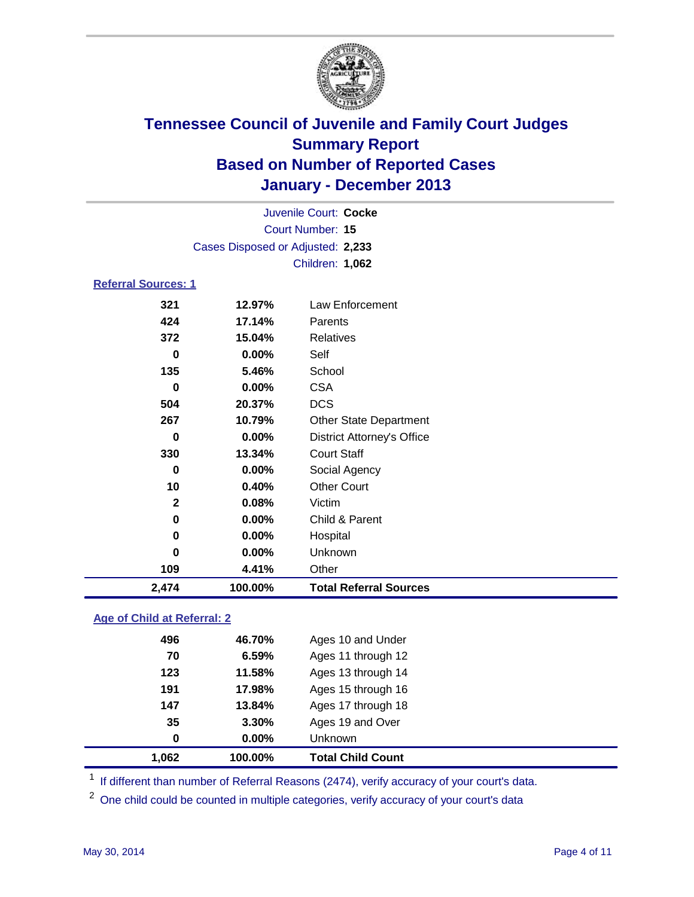

|                            |                                   | Juvenile Court: Cocke             |
|----------------------------|-----------------------------------|-----------------------------------|
|                            |                                   | <b>Court Number: 15</b>           |
|                            | Cases Disposed or Adjusted: 2,233 |                                   |
|                            |                                   | Children: 1,062                   |
| <b>Referral Sources: 1</b> |                                   |                                   |
| 321                        | 12.97%                            | Law Enforcement                   |
| 424                        | 17.14%                            | Parents                           |
| 372                        | 15.04%                            | <b>Relatives</b>                  |
| 0                          | $0.00\%$                          | Self                              |
| 135                        | 5.46%                             | School                            |
| 0                          | 0.00%                             | <b>CSA</b>                        |
| 504                        | 20.37%                            | <b>DCS</b>                        |
| 267                        | 10.79%                            | Other State Department            |
| 0                          | 0.00%                             | <b>District Attorney's Office</b> |
| 330                        | 13.34%                            | <b>Court Staff</b>                |
| 0                          | 0.00%                             | Social Agency                     |
| 10                         | 0.40%                             | <b>Other Court</b>                |
| $\mathbf{2}$               | 0.08%                             | Victim                            |
| 0                          | 0.00%                             | Child & Parent                    |
| 0                          | 0.00%                             | Hospital                          |
| $\bf{0}$                   | 0.00%                             | Unknown                           |
| 109                        | 4.41%                             | Other                             |
| 2,474                      | 100.00%                           | <b>Total Referral Sources</b>     |

### **Age of Child at Referral: 2**

| 147<br>35<br>0 | 13.84%<br>3.30%<br>$0.00\%$ | Ages 15 through 16<br>Ages 17 through 18<br>Ages 19 and Over<br><b>Unknown</b> |
|----------------|-----------------------------|--------------------------------------------------------------------------------|
|                |                             |                                                                                |
|                |                             |                                                                                |
|                |                             |                                                                                |
| 191            | 17.98%                      |                                                                                |
| 123            |                             | Ages 13 through 14                                                             |
| 70             | 6.59%                       | Ages 11 through 12                                                             |
| 496            |                             | Ages 10 and Under                                                              |
|                |                             | 46.70%<br>11.58%                                                               |

<sup>1</sup> If different than number of Referral Reasons (2474), verify accuracy of your court's data.

<sup>2</sup> One child could be counted in multiple categories, verify accuracy of your court's data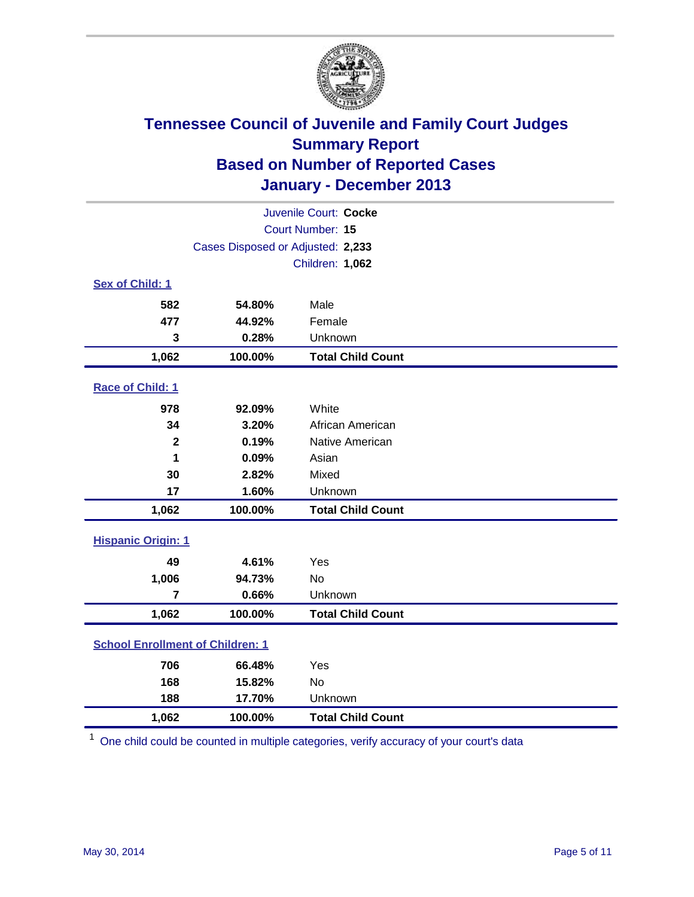

|                                         |                                   | Juvenile Court: Cocke    |
|-----------------------------------------|-----------------------------------|--------------------------|
|                                         |                                   | Court Number: 15         |
|                                         | Cases Disposed or Adjusted: 2,233 |                          |
|                                         |                                   | Children: 1,062          |
| Sex of Child: 1                         |                                   |                          |
| 582                                     | 54.80%                            | Male                     |
| 477                                     | 44.92%                            | Female                   |
| 3                                       | 0.28%                             | Unknown                  |
| 1,062                                   | 100.00%                           | <b>Total Child Count</b> |
| Race of Child: 1                        |                                   |                          |
| 978                                     | 92.09%                            | White                    |
| 34                                      | 3.20%                             | African American         |
| $\mathbf{2}$                            | 0.19%                             | Native American          |
| 1                                       | 0.09%                             | Asian                    |
| 30                                      | 2.82%                             | Mixed                    |
| 17                                      | 1.60%                             | Unknown                  |
| 1,062                                   | 100.00%                           | <b>Total Child Count</b> |
| <b>Hispanic Origin: 1</b>               |                                   |                          |
| 49                                      | 4.61%                             | Yes                      |
| 1,006                                   | 94.73%                            | <b>No</b>                |
| $\overline{\mathbf{r}}$                 | 0.66%                             | Unknown                  |
| 1,062                                   | 100.00%                           | <b>Total Child Count</b> |
| <b>School Enrollment of Children: 1</b> |                                   |                          |
| 706                                     | 66.48%                            | Yes                      |
| 168                                     | 15.82%                            | <b>No</b>                |
| 188                                     | 17.70%                            | Unknown                  |
| 1,062                                   | 100.00%                           | <b>Total Child Count</b> |

<sup>1</sup> One child could be counted in multiple categories, verify accuracy of your court's data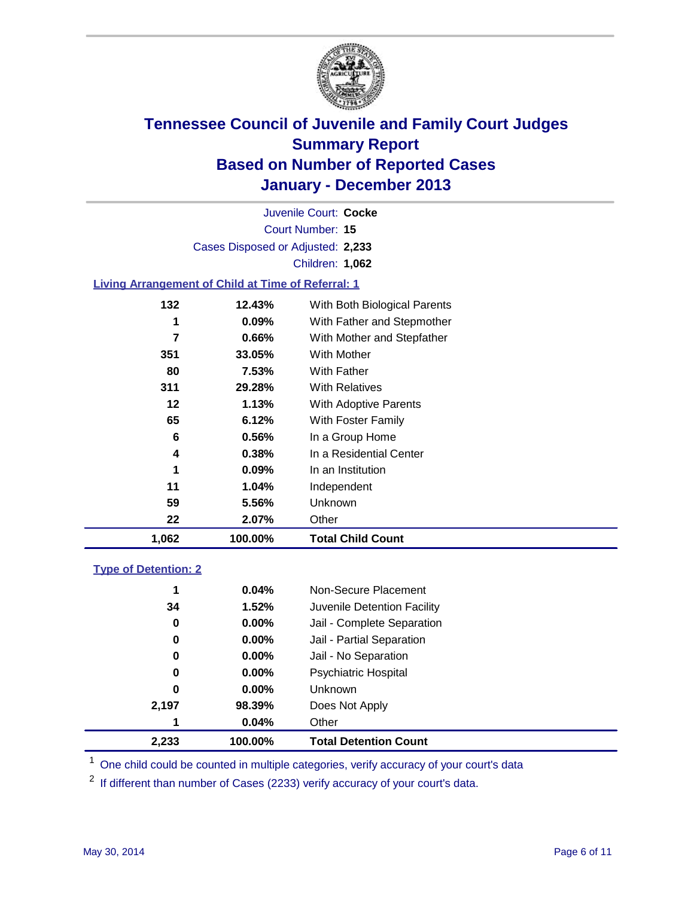

Court Number: **15** Juvenile Court: **Cocke** Cases Disposed or Adjusted: **2,233** Children: **1,062**

### **Living Arrangement of Child at Time of Referral: 1**

| 1,062 | 100.00%  | <b>Total Child Count</b>     |
|-------|----------|------------------------------|
| 22    | 2.07%    | Other                        |
| 59    | 5.56%    | <b>Unknown</b>               |
| 11    | 1.04%    | Independent                  |
| 1     | 0.09%    | In an Institution            |
| 4     | 0.38%    | In a Residential Center      |
| 6     | 0.56%    | In a Group Home              |
| 65    | $6.12\%$ | With Foster Family           |
| 12    | 1.13%    | With Adoptive Parents        |
| 311   | 29.28%   | <b>With Relatives</b>        |
| 80    | 7.53%    | With Father                  |
| 351   | 33.05%   | With Mother                  |
| 7     | 0.66%    | With Mother and Stepfather   |
| 1     | $0.09\%$ | With Father and Stepmother   |
| 132   | 12.43%   | With Both Biological Parents |

#### **Type of Detention: 2**

| 2,233 | 100.00%  | <b>Total Detention Count</b> |
|-------|----------|------------------------------|
| 1     | 0.04%    | Other                        |
| 2,197 | 98.39%   | Does Not Apply               |
| 0     | $0.00\%$ | <b>Unknown</b>               |
| 0     | $0.00\%$ | <b>Psychiatric Hospital</b>  |
| 0     | 0.00%    | Jail - No Separation         |
| 0     | $0.00\%$ | Jail - Partial Separation    |
| 0     | 0.00%    | Jail - Complete Separation   |
| 34    | 1.52%    | Juvenile Detention Facility  |
| 1     | 0.04%    | Non-Secure Placement         |
|       |          |                              |

<sup>1</sup> One child could be counted in multiple categories, verify accuracy of your court's data

<sup>2</sup> If different than number of Cases (2233) verify accuracy of your court's data.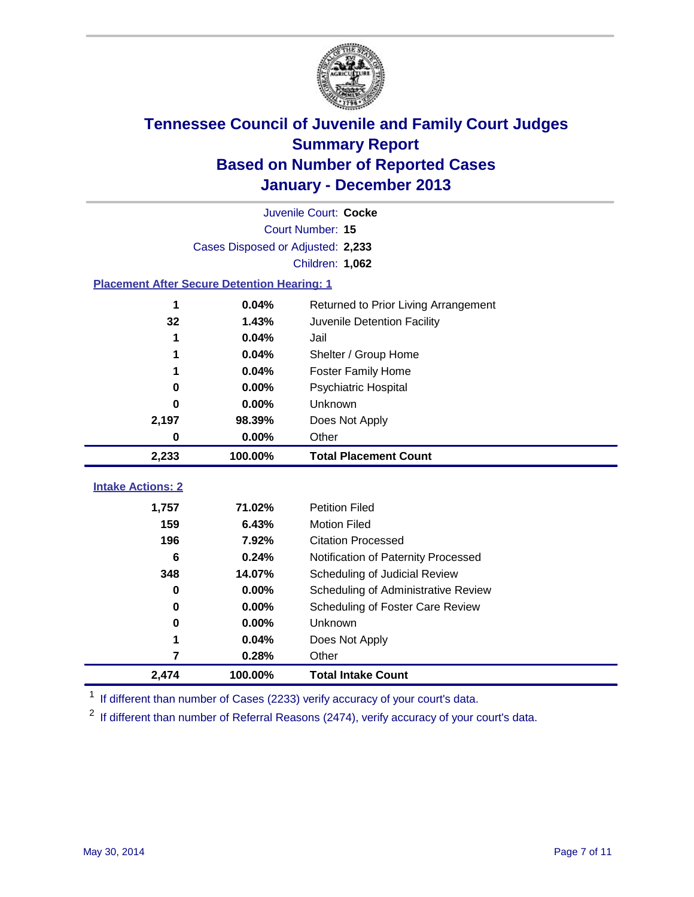

|                                                    |                                   | Juvenile Court: Cocke                |
|----------------------------------------------------|-----------------------------------|--------------------------------------|
|                                                    |                                   | Court Number: 15                     |
|                                                    | Cases Disposed or Adjusted: 2,233 |                                      |
|                                                    |                                   | Children: 1,062                      |
| <b>Placement After Secure Detention Hearing: 1</b> |                                   |                                      |
| 1                                                  | 0.04%                             | Returned to Prior Living Arrangement |
| 32                                                 | 1.43%                             | Juvenile Detention Facility          |
| 1                                                  | 0.04%                             | Jail                                 |
|                                                    | 0.04%                             | Shelter / Group Home                 |
| 1                                                  | 0.04%                             | <b>Foster Family Home</b>            |
| 0                                                  | 0.00%                             | <b>Psychiatric Hospital</b>          |
| 0                                                  | 0.00%                             | Unknown                              |
| 2,197                                              | 98.39%                            | Does Not Apply                       |
| 0                                                  | 0.00%                             | Other                                |
| 2,233                                              | 100.00%                           | <b>Total Placement Count</b>         |
| <b>Intake Actions: 2</b>                           |                                   |                                      |
|                                                    |                                   |                                      |
| 1,757                                              | 71.02%                            | <b>Petition Filed</b>                |
| 159                                                | 6.43%                             | <b>Motion Filed</b>                  |
| 196                                                | 7.92%                             | <b>Citation Processed</b>            |
| 6                                                  | 0.24%                             | Notification of Paternity Processed  |
| 348                                                | 14.07%                            | Scheduling of Judicial Review        |
| $\bf{0}$                                           | 0.00%                             | Scheduling of Administrative Review  |
| 0                                                  | 0.00%                             | Scheduling of Foster Care Review     |
| 0                                                  | 0.00%                             | Unknown                              |
| 1                                                  | 0.04%                             | Does Not Apply                       |
| 7                                                  | 0.28%                             | Other                                |
| 2,474                                              | 100.00%                           | <b>Total Intake Count</b>            |

<sup>1</sup> If different than number of Cases (2233) verify accuracy of your court's data.

 $2$  If different than number of Referral Reasons (2474), verify accuracy of your court's data.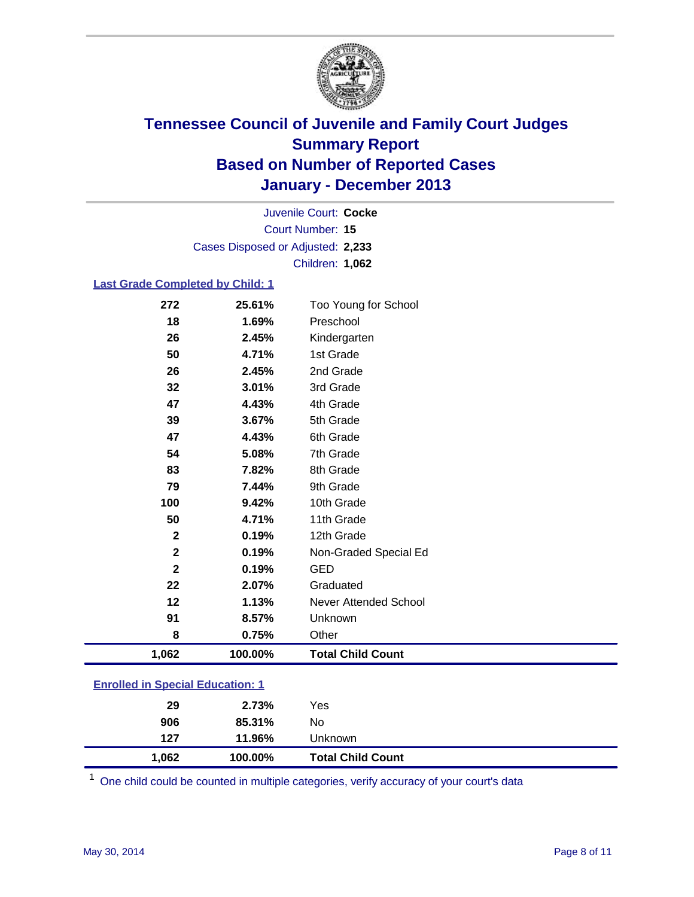

Court Number: **15** Juvenile Court: **Cocke** Cases Disposed or Adjusted: **2,233** Children: **1,062**

### **Last Grade Completed by Child: 1**

| 1,062        | 100.00% | <b>Total Child Count</b>     |
|--------------|---------|------------------------------|
| 8            | 0.75%   | Other                        |
| 91           | 8.57%   | Unknown                      |
| 12           | 1.13%   | <b>Never Attended School</b> |
| 22           | 2.07%   | Graduated                    |
| $\mathbf{2}$ | 0.19%   | <b>GED</b>                   |
| $\mathbf 2$  | 0.19%   | Non-Graded Special Ed        |
| $\mathbf 2$  | 0.19%   | 12th Grade                   |
| 50           | 4.71%   | 11th Grade                   |
| 100          | 9.42%   | 10th Grade                   |
| 79           | 7.44%   | 9th Grade                    |
| 83           | 7.82%   | 8th Grade                    |
| 54           | 5.08%   | 7th Grade                    |
| 47           | 4.43%   | 6th Grade                    |
| 39           | 3.67%   | 5th Grade                    |
| 47           | 4.43%   | 4th Grade                    |
| 32           | 3.01%   | 3rd Grade                    |
| 26           | 2.45%   | 2nd Grade                    |
| 50           | 4.71%   | 1st Grade                    |
| 26           | 2.45%   | Kindergarten                 |
| 18           | 1.69%   | Preschool                    |
| 272          | 25.61%  | Too Young for School         |

| <b>Enrolled in Special Education: 1</b> |  |
|-----------------------------------------|--|
|                                         |  |

| No<br>906<br>85.31% |  |
|---------------------|--|
|                     |  |
| 29<br>2.73%<br>Yes  |  |

One child could be counted in multiple categories, verify accuracy of your court's data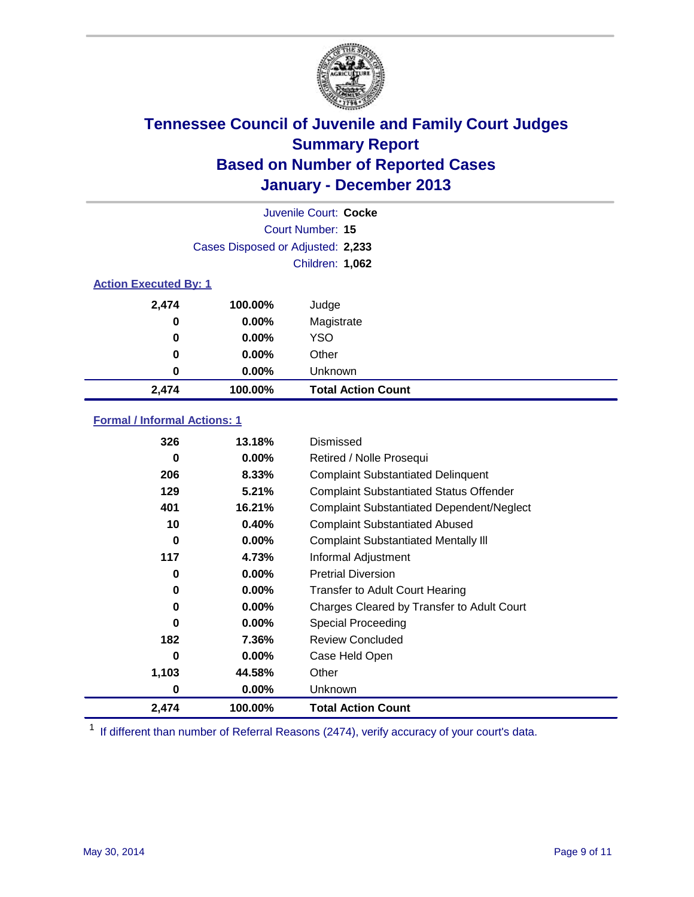

|                              |                                   | Juvenile Court: Cocke     |
|------------------------------|-----------------------------------|---------------------------|
|                              |                                   | Court Number: 15          |
|                              | Cases Disposed or Adjusted: 2,233 |                           |
|                              |                                   | Children: 1,062           |
| <b>Action Executed By: 1</b> |                                   |                           |
| 2,474                        | 100.00%                           | Judge                     |
| 0                            | $0.00\%$                          | Magistrate                |
| 0                            | $0.00\%$                          | <b>YSO</b>                |
| 0                            | $0.00\%$                          | Other                     |
| 0                            | $0.00\%$                          | Unknown                   |
| 2,474                        | 100.00%                           | <b>Total Action Count</b> |

### **Formal / Informal Actions: 1**

| 326   | 13.18%   | Dismissed                                        |
|-------|----------|--------------------------------------------------|
| 0     | $0.00\%$ | Retired / Nolle Prosequi                         |
| 206   | 8.33%    | <b>Complaint Substantiated Delinquent</b>        |
| 129   | 5.21%    | <b>Complaint Substantiated Status Offender</b>   |
| 401   | 16.21%   | <b>Complaint Substantiated Dependent/Neglect</b> |
| 10    | 0.40%    | <b>Complaint Substantiated Abused</b>            |
| 0     | $0.00\%$ | <b>Complaint Substantiated Mentally III</b>      |
| 117   | 4.73%    | Informal Adjustment                              |
| 0     | $0.00\%$ | <b>Pretrial Diversion</b>                        |
| 0     | $0.00\%$ | <b>Transfer to Adult Court Hearing</b>           |
| 0     | $0.00\%$ | Charges Cleared by Transfer to Adult Court       |
| 0     | $0.00\%$ | Special Proceeding                               |
| 182   | 7.36%    | <b>Review Concluded</b>                          |
| 0     | $0.00\%$ | Case Held Open                                   |
| 1,103 | 44.58%   | Other                                            |
| 0     | $0.00\%$ | <b>Unknown</b>                                   |
| 2,474 | 100.00%  | <b>Total Action Count</b>                        |

<sup>1</sup> If different than number of Referral Reasons (2474), verify accuracy of your court's data.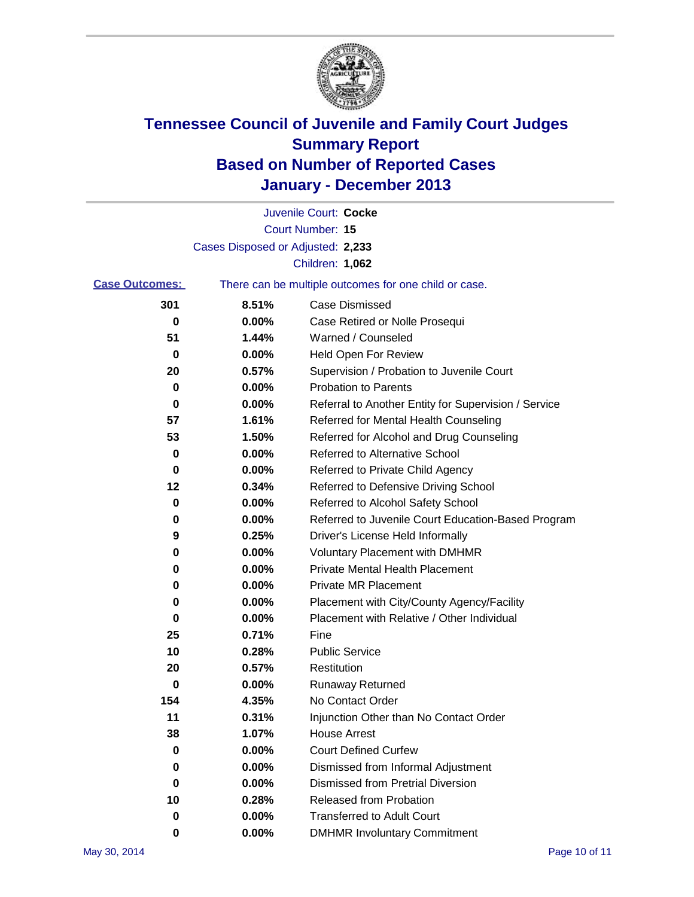

|                       |                                   | Juvenile Court: Cocke                                 |
|-----------------------|-----------------------------------|-------------------------------------------------------|
|                       |                                   | <b>Court Number: 15</b>                               |
|                       | Cases Disposed or Adjusted: 2,233 |                                                       |
|                       |                                   | Children: 1,062                                       |
| <b>Case Outcomes:</b> |                                   | There can be multiple outcomes for one child or case. |
| 301                   | 8.51%                             | Case Dismissed                                        |
| 0                     | 0.00%                             | Case Retired or Nolle Prosequi                        |
| 51                    | 1.44%                             | Warned / Counseled                                    |
| 0                     | 0.00%                             | <b>Held Open For Review</b>                           |
| 20                    | 0.57%                             | Supervision / Probation to Juvenile Court             |
| 0                     | 0.00%                             | <b>Probation to Parents</b>                           |
| 0                     | 0.00%                             | Referral to Another Entity for Supervision / Service  |
| 57                    | 1.61%                             | Referred for Mental Health Counseling                 |
| 53                    | 1.50%                             | Referred for Alcohol and Drug Counseling              |
| 0                     | 0.00%                             | <b>Referred to Alternative School</b>                 |
| 0                     | 0.00%                             | Referred to Private Child Agency                      |
| 12                    | 0.34%                             | Referred to Defensive Driving School                  |
| 0                     | 0.00%                             | Referred to Alcohol Safety School                     |
| 0                     | 0.00%                             | Referred to Juvenile Court Education-Based Program    |
| 9                     | 0.25%                             | Driver's License Held Informally                      |
| 0                     | 0.00%                             | <b>Voluntary Placement with DMHMR</b>                 |
| 0                     | 0.00%                             | <b>Private Mental Health Placement</b>                |
| 0                     | 0.00%                             | <b>Private MR Placement</b>                           |
| 0                     | 0.00%                             | Placement with City/County Agency/Facility            |
| 0                     | 0.00%                             | Placement with Relative / Other Individual            |
| 25                    | 0.71%                             | Fine                                                  |
| 10                    | 0.28%                             | <b>Public Service</b>                                 |
| 20                    | 0.57%                             | Restitution                                           |
| 0                     | 0.00%                             | Runaway Returned                                      |
| 154                   | 4.35%                             | No Contact Order                                      |
| 11                    | 0.31%                             | Injunction Other than No Contact Order                |
| 38                    | 1.07%                             | <b>House Arrest</b>                                   |
| 0                     | 0.00%                             | <b>Court Defined Curfew</b>                           |
| 0                     | 0.00%                             | Dismissed from Informal Adjustment                    |
| 0                     | 0.00%                             | <b>Dismissed from Pretrial Diversion</b>              |
| 10                    | 0.28%                             | <b>Released from Probation</b>                        |
| 0                     | 0.00%                             | <b>Transferred to Adult Court</b>                     |
| 0                     | 0.00%                             | <b>DMHMR Involuntary Commitment</b>                   |